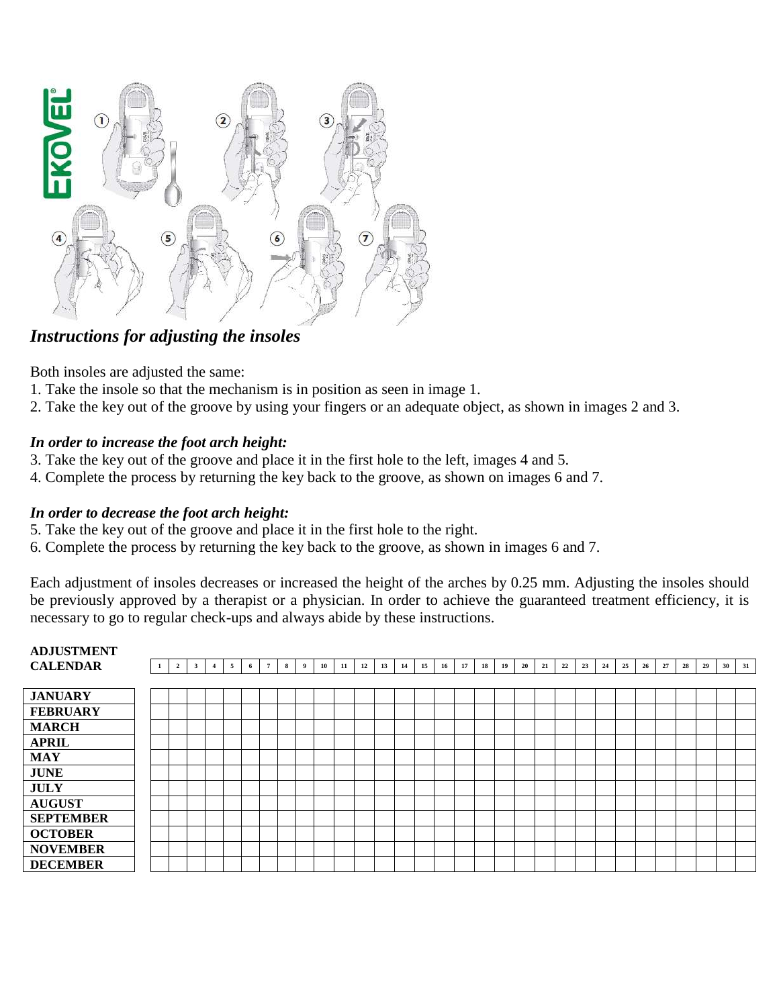

## *Instructions for adjusting the insoles*

Both insoles are adjusted the same:

- 1. Take the insole so that the mechanism is in position as seen in image 1.
- 2. Take the key out of the groove by using your fingers or an adequate object, as shown in images 2 and 3.

## *In order to increase the foot arch height:*

- 3. Take the key out of the groove and place it in the first hole to the left, images 4 and 5.
- 4. Complete the process by returning the key back to the groove, as shown on images 6 and 7.

## *In order to decrease the foot arch height:*

- 5. Take the key out of the groove and place it in the first hole to the right.
- 6. Complete the process by returning the key back to the groove, as shown in images 6 and 7.

Each adjustment of insoles decreases or increased the height of the arches by 0.25 mm. Adjusting the insoles should be previously approved by a therapist or a physician. In order to achieve the guaranteed treatment efficiency, it is necessary to go to regular check-ups and always abide by these instructions.

# **ADJUSTMENT**

| <b>CALENDAR</b>  |  | -1 | $\overline{2}$ | $\mathbf{3}$ | $\overline{\mathbf{4}}$ | 5 | 6 | $7\phantom{.0}$ | 8 | - 9 | 10 | 11 | 12 | 13 | 14 | 15 | 16 | 17 | 18 | 19 | 20 | 21 | 22 | 23 | 24 | 25 | 26 | 27 | 28 | 29 | 30 | 31 |
|------------------|--|----|----------------|--------------|-------------------------|---|---|-----------------|---|-----|----|----|----|----|----|----|----|----|----|----|----|----|----|----|----|----|----|----|----|----|----|----|
|                  |  |    |                |              |                         |   |   |                 |   |     |    |    |    |    |    |    |    |    |    |    |    |    |    |    |    |    |    |    |    |    |    |    |
| <b>JANUARY</b>   |  |    |                |              |                         |   |   |                 |   |     |    |    |    |    |    |    |    |    |    |    |    |    |    |    |    |    |    |    |    |    |    |    |
| <b>FEBRUARY</b>  |  |    |                |              |                         |   |   |                 |   |     |    |    |    |    |    |    |    |    |    |    |    |    |    |    |    |    |    |    |    |    |    |    |
| <b>MARCH</b>     |  |    |                |              |                         |   |   |                 |   |     |    |    |    |    |    |    |    |    |    |    |    |    |    |    |    |    |    |    |    |    |    |    |
| <b>APRIL</b>     |  |    |                |              |                         |   |   |                 |   |     |    |    |    |    |    |    |    |    |    |    |    |    |    |    |    |    |    |    |    |    |    |    |
| <b>MAY</b>       |  |    |                |              |                         |   |   |                 |   |     |    |    |    |    |    |    |    |    |    |    |    |    |    |    |    |    |    |    |    |    |    |    |
| <b>JUNE</b>      |  |    |                |              |                         |   |   |                 |   |     |    |    |    |    |    |    |    |    |    |    |    |    |    |    |    |    |    |    |    |    |    |    |
| <b>JULY</b>      |  |    |                |              |                         |   |   |                 |   |     |    |    |    |    |    |    |    |    |    |    |    |    |    |    |    |    |    |    |    |    |    |    |
| <b>AUGUST</b>    |  |    |                |              |                         |   |   |                 |   |     |    |    |    |    |    |    |    |    |    |    |    |    |    |    |    |    |    |    |    |    |    |    |
| <b>SEPTEMBER</b> |  |    |                |              |                         |   |   |                 |   |     |    |    |    |    |    |    |    |    |    |    |    |    |    |    |    |    |    |    |    |    |    |    |
| <b>OCTOBER</b>   |  |    |                |              |                         |   |   |                 |   |     |    |    |    |    |    |    |    |    |    |    |    |    |    |    |    |    |    |    |    |    |    |    |
| <b>NOVEMBER</b>  |  |    |                |              |                         |   |   |                 |   |     |    |    |    |    |    |    |    |    |    |    |    |    |    |    |    |    |    |    |    |    |    |    |
| <b>DECEMBER</b>  |  |    |                |              |                         |   |   |                 |   |     |    |    |    |    |    |    |    |    |    |    |    |    |    |    |    |    |    |    |    |    |    |    |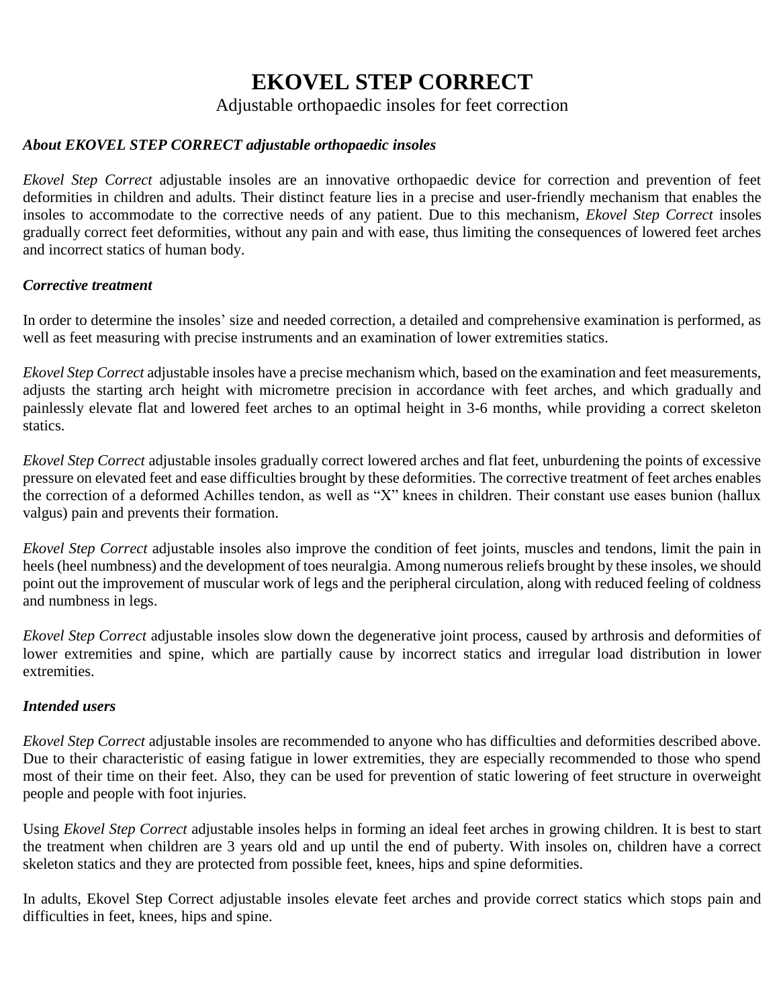# **EKOVEL STEP CORRECT**

Adjustable orthopaedic insoles for feet correction

## *About EKOVEL STEP CORRECT adjustable orthopaedic insoles*

*Ekovel Step Correct* adjustable insoles are an innovative orthopaedic device for correction and prevention of feet deformities in children and adults. Their distinct feature lies in a precise and user-friendly mechanism that enables the insoles to accommodate to the corrective needs of any patient. Due to this mechanism, *Ekovel Step Correct* insoles gradually correct feet deformities, without any pain and with ease, thus limiting the consequences of lowered feet arches and incorrect statics of human body.

## *Corrective treatment*

In order to determine the insoles' size and needed correction, a detailed and comprehensive examination is performed, as well as feet measuring with precise instruments and an examination of lower extremities statics.

*Ekovel Step Correct* adjustable insoles have a precise mechanism which, based on the examination and feet measurements, adjusts the starting arch height with micrometre precision in accordance with feet arches, and which gradually and painlessly elevate flat and lowered feet arches to an optimal height in 3-6 months, while providing a correct skeleton statics.

*Ekovel Step Correct* adjustable insoles gradually correct lowered arches and flat feet, unburdening the points of excessive pressure on elevated feet and ease difficulties brought by these deformities. The corrective treatment of feet arches enables the correction of a deformed Achilles tendon, as well as "X" knees in children. Their constant use eases bunion (hallux valgus) pain and prevents their formation.

*Ekovel Step Correct* adjustable insoles also improve the condition of feet joints, muscles and tendons, limit the pain in heels (heel numbness) and the development of toes neuralgia. Among numerous reliefs brought by these insoles, we should point out the improvement of muscular work of legs and the peripheral circulation, along with reduced feeling of coldness and numbness in legs.

*Ekovel Step Correct* adjustable insoles slow down the degenerative joint process, caused by arthrosis and deformities of lower extremities and spine, which are partially cause by incorrect statics and irregular load distribution in lower extremities.

## *Intended users*

*Ekovel Step Correct* adjustable insoles are recommended to anyone who has difficulties and deformities described above. Due to their characteristic of easing fatigue in lower extremities, they are especially recommended to those who spend most of their time on their feet. Also, they can be used for prevention of static lowering of feet structure in overweight people and people with foot injuries.

Using *Ekovel Step Correct* adjustable insoles helps in forming an ideal feet arches in growing children. It is best to start the treatment when children are 3 years old and up until the end of puberty. With insoles on, children have a correct skeleton statics and they are protected from possible feet, knees, hips and spine deformities.

In adults, Ekovel Step Correct adjustable insoles elevate feet arches and provide correct statics which stops pain and difficulties in feet, knees, hips and spine.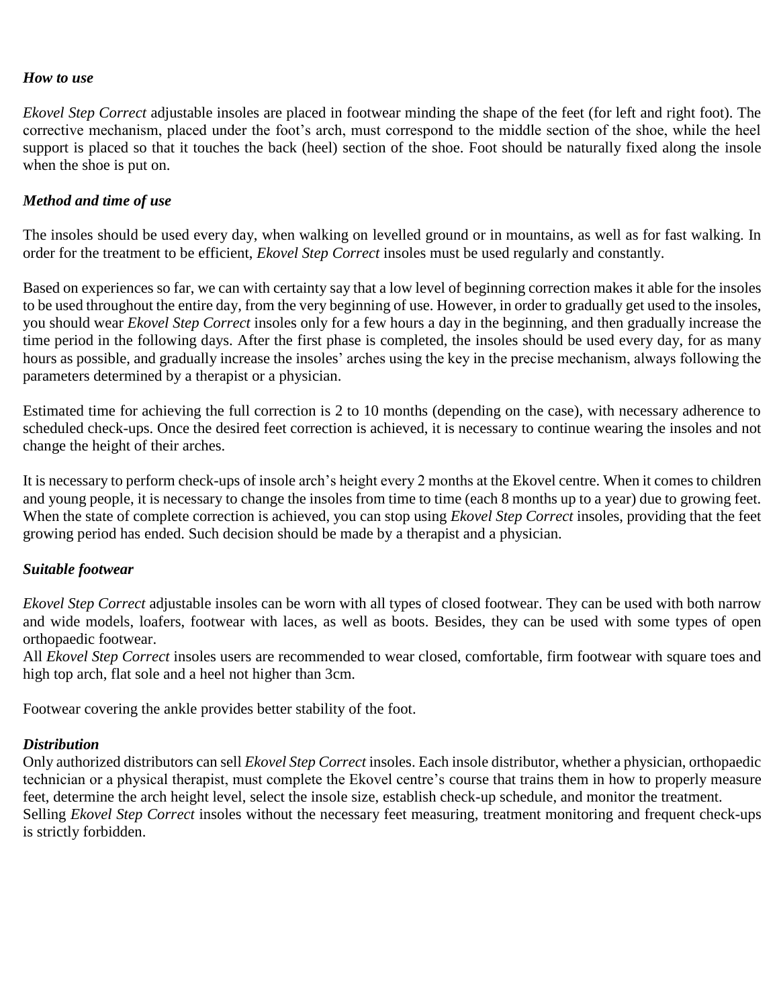#### *How to use*

*Ekovel Step Correct* adjustable insoles are placed in footwear minding the shape of the feet (for left and right foot). The corrective mechanism, placed under the foot's arch, must correspond to the middle section of the shoe, while the heel support is placed so that it touches the back (heel) section of the shoe. Foot should be naturally fixed along the insole when the shoe is put on.

### *Method and time of use*

The insoles should be used every day, when walking on levelled ground or in mountains, as well as for fast walking. In order for the treatment to be efficient, *Ekovel Step Correct* insoles must be used regularly and constantly.

Based on experiences so far, we can with certainty say that a low level of beginning correction makes it able for the insoles to be used throughout the entire day, from the very beginning of use. However, in order to gradually get used to the insoles, you should wear *Ekovel Step Correct* insoles only for a few hours a day in the beginning, and then gradually increase the time period in the following days. After the first phase is completed, the insoles should be used every day, for as many hours as possible, and gradually increase the insoles' arches using the key in the precise mechanism, always following the parameters determined by a therapist or a physician.

Estimated time for achieving the full correction is 2 to 10 months (depending on the case), with necessary adherence to scheduled check-ups. Once the desired feet correction is achieved, it is necessary to continue wearing the insoles and not change the height of their arches.

It is necessary to perform check-ups of insole arch's height every 2 months at the Ekovel centre. When it comes to children and young people, it is necessary to change the insoles from time to time (each 8 months up to a year) due to growing feet. When the state of complete correction is achieved, you can stop using *Ekovel Step Correct* insoles, providing that the feet growing period has ended. Such decision should be made by a therapist and a physician.

#### *Suitable footwear*

*Ekovel Step Correct* adjustable insoles can be worn with all types of closed footwear. They can be used with both narrow and wide models, loafers, footwear with laces, as well as boots. Besides, they can be used with some types of open orthopaedic footwear.

All *Ekovel Step Correct* insoles users are recommended to wear closed, comfortable, firm footwear with square toes and high top arch, flat sole and a heel not higher than 3cm.

Footwear covering the ankle provides better stability of the foot.

#### *Distribution*

Only authorized distributors can sell *Ekovel Step Correct* insoles. Each insole distributor, whether a physician, orthopaedic technician or a physical therapist, must complete the Ekovel centre's course that trains them in how to properly measure feet, determine the arch height level, select the insole size, establish check-up schedule, and monitor the treatment. Selling *Ekovel Step Correct* insoles without the necessary feet measuring, treatment monitoring and frequent check-ups is strictly forbidden.